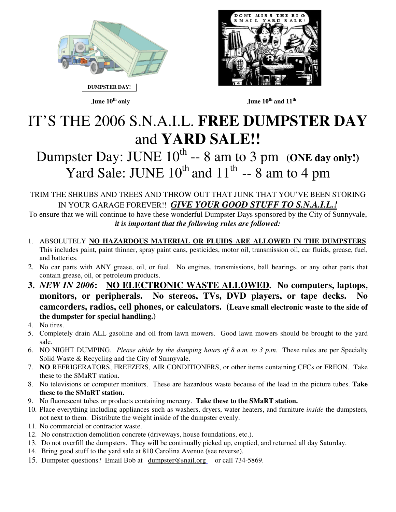



#### **June 10th only June 10th and 11th**

## IT'S THE 2006 S.N.A.I.L. **FREE DUMPSTER DAY** and **YARD SALE!!**

### Dumpster Day: JUNE  $10^{th}$  -- 8 am to 3 pm (ONE day only!) Yard Sale: JUNE  $10^{th}$  and  $11^{th}$  -- 8 am to 4 pm

#### TRIM THE SHRUBS AND TREES AND THROW OUT THAT JUNK THAT YOU'VE BEEN STORING IN YOUR GARAGE FOREVER!! *GIVE YOUR GOOD STUFF TO S.N.A.I.L.!*

To ensure that we will continue to have these wonderful Dumpster Days sponsored by the City of Sunnyvale, *it is important that the following rules are followed:* 

- 1. ABSOLUTELY **NO HAZARDOUS MATERIAL OR FLUIDS ARE ALLOWED IN THE DUMPSTERS**. This includes paint, paint thinner, spray paint cans, pesticides, motor oil, transmission oil, car fluids, grease, fuel, and batteries.
- 2. No car parts with ANY grease, oil, or fuel. No engines, transmissions, ball bearings, or any other parts that contain grease, oil, or petroleum products.
- **3.** *NEW IN 2006***: NO ELECTRONIC WASTE ALLOWED. No computers, laptops, monitors, or peripherals. No stereos, TVs, DVD players, or tape decks. No camcorders, radios, cell phones, or calculators. (Leave small electronic waste to the side of the dumpster for special handling.)**
- 4. No tires.
- 5. Completely drain ALL gasoline and oil from lawn mowers. Good lawn mowers should be brought to the yard sale.
- 6. NO NIGHT DUMPING. *Please abide by the dumping hours of 8 a.m. to 3 p.m*. These rules are per Specialty Solid Waste & Recycling and the City of Sunnyvale.
- 7. **NO** REFRIGERATORS, FREEZERS, AIR CONDITIONERS, or other items containing CFCs or FREON. Take these to the SMaRT station.
- 8. No televisions or computer monitors. These are hazardous waste because of the lead in the picture tubes. **Take these to the SMaRT station.**
- 9. No fluorescent tubes or products containing mercury. **Take these to the SMaRT station.**
- 10. Place everything including appliances such as washers, dryers, water heaters, and furniture *inside* the dumpsters, not next to them. Distribute the weight inside of the dumpster evenly.
- 11. No commercial or contractor waste.
- 12. No construction demolition concrete (driveways, house foundations, etc.).
- 13. Do not overfill the dumpsters. They will be continually picked up, emptied, and returned all day Saturday.
- 14. Bring good stuff to the yard sale at 810 Carolina Avenue (see reverse).
- 15. Dumpster questions? Email Bob at dumpster@snail.org or call 734-5869.